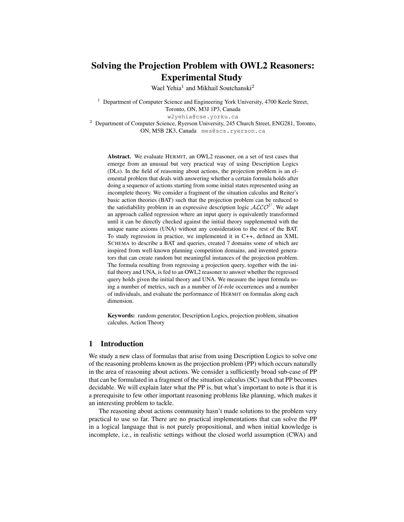# Solving the Projection Problem with OWL2 Reasoners: Experimental Study

Wael Yehia<sup>1</sup> and Mikhail Soutchanski<sup>2</sup>

<sup>1</sup> Department of Computer Science and Engineering York University, 4700 Keele Street, Toronto, ON, M3J 1P3, Canada

w2yehia@cse.yorku.ca

<sup>2</sup> Department of Computer Science, Ryerson University, 245 Church Street, ENG281, Toronto, ON, M5B 2K3, Canada mes@scs.ryerson.ca

Abstract. We evaluate HERMIT, an OWL2 reasoner, on a set of test cases that emerge from an unusual but very practical way of using Description Logics (DLs). In the field of reasoning about actions, the projection problem is an elemental problem that deals with answering whether a certain formula holds after doing a sequence of actions starting from some initial states represented using an incomplete theory. We consider a fragment of the situation calculus and Reiter's basic action theories (BAT) such that the projection problem can be reduced to the satisfiability problem in an expressive description logic  $\mathcal{ALCO}^U$ . We adapt an approach called regression where an input query is equivalently transformed until it can be directly checked against the initial theory supplemented with the unique name axioms (UNA) without any consideration to the rest of the BAT. To study regression in practice, we implemented it in C++, defined an XML SCHEMA to describe a BAT and queries, created 7 domains some of which are inspired from well-known planning competition domains, and invented generators that can create random but meaningful instances of the projection problem. The formula resulting from regressing a projection query, together with the initial theory and UNA, is fed to an OWL2 reasoner to answer whether the regressed query holds given the initial theory and UNA. We measure the input formula using a number of metrics, such as a number of  $U$ -role occurrences and a number of individuals, and evaluate the performance of HERMIT on formulas along each dimension.

Keywords: random generator, Description Logics, projection problem, situation calculus, Action Theory

## 1 Introduction

We study a new class of formulas that arise from using Description Logics to solve one of the reasoning problems known as the projection problem (PP) which occurs naturally in the area of reasoning about actions. We consider a sufficiently broad sub-case of PP that can be formulated in a fragment of the situation calculus (SC) such that PP becomes decidable. We will explain later what the PP is, but what's important to note is that it is a prerequisite to few other important reasoning problems like planning, which makes it an interesting problem to tackle.

The reasoning about actions community hasn't made solutions to the problem very practical to use so far. There are no practical implementations that can solve the PP in a logical language that is not purely propositional, and when initial knowledge is incomplete, i.e., in realistic settings without the closed world assumption (CWA) and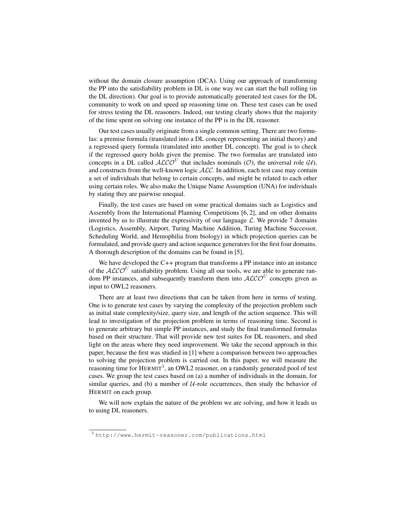without the domain closure assumption (DCA). Using our approach of transforming the PP into the satisfiability problem in DL is one way we can start the ball rolling (in the DL direction). Our goal is to provide automatically generated test cases for the DL community to work on and speed up reasoning time on. These test cases can be used for stress testing the DL reasoners. Indeed, our testing clearly shows that the majority of the time spent on solving one instance of the PP is in the DL reasoner.

Our test cases usually originate from a single common setting. There are two formulas: a premise formula (translated into a DL concept representing an initial theory) and a regressed query formula (translated into another DL concept). The goal is to check if the regressed query holds given the premise. The two formulas are translated into concepts in a DL called  $ALCO<sup>U</sup>$  that includes nominals (O), the universal role (U), and constructs from the well-known logic ALC. In addition, each test case may contain a set of individuals that belong to certain concepts, and might be related to each other using certain roles. We also make the Unique Name Assumption (UNA) for individuals by stating they are pairwise unequal.

Finally, the test cases are based on some practical domains such as Logistics and Assembly from the International Planning Competitions [6, 2], and on other domains invented by us to illustrate the expressivity of our language  $\mathcal{L}$ . We provide 7 domains (Logistics, Assembly, Airport, Turing Machine Addition, Turing Machine Successor, Scheduling World, and Hemophilia from biology) in which projection queries can be formulated, and provide query and action sequence generators for the first four domains. A thorough description of the domains can be found in [5].

We have developed the C++ program that transforms a PP instance into an instance of the  $\mathcal{ALCO}^U$  satisfiability problem. Using all our tools, we are able to generate random PP instances, and subsequently transform them into  $\mathcal{ALCO}^U$  concepts given as input to OWL2 reasoners.

There are at least two directions that can be taken from here in terms of testing. One is to generate test cases by varying the complexity of the projection problem such as initial state complexity/size, query size, and length of the action sequence. This will lead to investigation of the projection problem in terms of reasoning time. Second is to generate arbitrary but simple PP instances, and study the final transformed formulas based on their structure. That will provide new test suites for DL reasoners, and shed light on the areas where they need improvement. We take the second approach in this paper, because the first was studied in [1] where a comparison between two approaches to solving the projection problem is carried out. In this paper, we will measure the reasoning time for  $HERMIT<sup>3</sup>$ , an OWL2 reasoner, on a randomly generated pool of test cases. We group the test cases based on (a) a number of individuals in the domain, for similar queries, and (b) a number of  $U$ -role occurrences, then study the behavior of HERMIT on each group.

We will now explain the nature of the problem we are solving, and how it leads us to using DL reasoners.

<sup>3</sup> http://www.hermit-reasoner.com/publications.html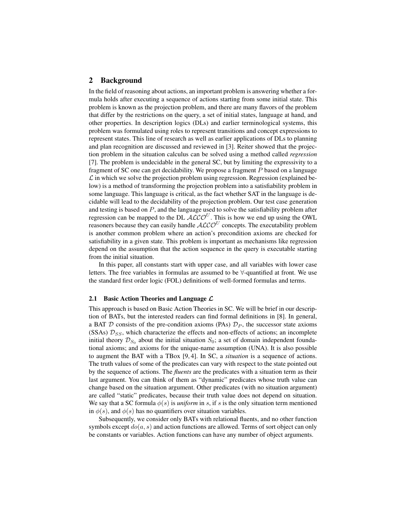## 2 Background

In the field of reasoning about actions, an important problem is answering whether a formula holds after executing a sequence of actions starting from some initial state. This problem is known as the projection problem, and there are many flavors of the problem that differ by the restrictions on the query, a set of initial states, language at hand, and other properties. In description logics (DLs) and earlier terminological systems, this problem was formulated using roles to represent transitions and concept expressions to represent states. This line of research as well as earlier applications of DLs to planning and plan recognition are discussed and reviewed in [3]. Reiter showed that the projection problem in the situation calculus can be solved using a method called *regression* [7]. The problem is undecidable in the general SC, but by limiting the expressivity to a fragment of SC one can get decidability. We propose a fragment  $P$  based on a language  $\mathcal L$  in which we solve the projection problem using regression. Regression (explained below) is a method of transforming the projection problem into a satisfiability problem in some language. This language is critical, as the fact whether SAT in the language is decidable will lead to the decidability of the projection problem. Our test case generation and testing is based on  $P$ , and the language used to solve the satisfiability problem after regression can be mapped to the DL  $\mathcal{ALCO}^U$ . This is how we end up using the OWL reasoners because they can easily handle  $\cal{ALCO}^{U}$  concepts. The executability problem is another common problem where an action's precondition axioms are checked for satisfiability in a given state. This problem is important as mechanisms like regression depend on the assumption that the action sequence in the query is executable starting from the initial situation.

In this paper, all constants start with upper case, and all variables with lower case letters. The free variables in formulas are assumed to be ∀-quantified at front. We use the standard first order logic (FOL) definitions of well-formed formulas and terms.

#### 2.1 Basic Action Theories and Language  $\mathcal L$

This approach is based on Basic Action Theories in SC. We will be brief in our description of BATs, but the interested readers can find formal definitions in [8]. In general, a BAT D consists of the pre-condition axioms (PAs)  $\mathcal{D}_P$ , the successor state axioms (SSAs)  $\mathcal{D}_{SS}$ , which characterize the effects and non-effects of actions; an incomplete initial theory  $\mathcal{D}_{S_0}$  about the initial situation  $S_0$ ; a set of domain independent foundational axioms; and axioms for the unique-name assumption (UNA). It is also possible to augment the BAT with a TBox [9, 4]. In SC, a *situation* is a sequence of actions. The truth values of some of the predicates can vary with respect to the state pointed out by the sequence of actions. The *fluents* are the predicates with a situation term as their last argument. You can think of them as "dynamic" predicates whose truth value can change based on the situation argument. Other predicates (with no situation argument) are called "static" predicates, because their truth value does not depend on situation. We say that a SC formula  $\phi(s)$  is *uniform* in s, if s is the only situation term mentioned in  $\phi(s)$ , and  $\phi(s)$  has no quantifiers over situation variables.

Subsequently, we consider only BATs with relational fluents, and no other function symbols except  $do(a, s)$  and action functions are allowed. Terms of sort object can only be constants or variables. Action functions can have any number of object arguments.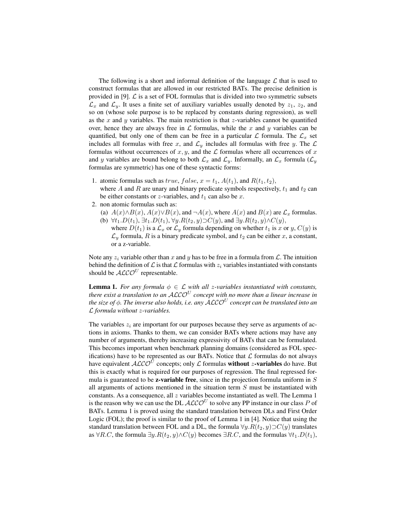The following is a short and informal definition of the language  $\mathcal L$  that is used to construct formulas that are allowed in our restricted BATs. The precise definition is provided in [9].  $\mathcal L$  is a set of FOL formulas that is divided into two symmetric subsets  $\mathcal{L}_x$  and  $\mathcal{L}_y$ . It uses a finite set of auxiliary variables usually denoted by  $z_1$ ,  $z_2$ , and so on (whose sole purpose is to be replaced by constants during regression), as well as the  $x$  and  $y$  variables. The main restriction is that  $z$ -variables cannot be quantified over, hence they are always free in  $\mathcal L$  formulas, while the x and y variables can be quantified, but only one of them can be free in a particular L formula. The  $\mathcal{L}_x$  set includes all formulas with free x, and  $\mathcal{L}_y$  includes all formulas with free y. The  $\mathcal L$ formulas without occurrences of  $x, y$ , and the  $\mathcal L$  formulas where all occurrences of  $x$ and y variables are bound belong to both  $\mathcal{L}_x$  and  $\mathcal{L}_y$ . Informally, an  $\mathcal{L}_x$  formula  $(\mathcal{L}_y)$ formulas are symmetric) has one of these syntactic forms:

- 1. atomic formulas such as *true*,  $false$ ,  $x = t_1$ ,  $A(t_1)$ , and  $R(t_1, t_2)$ , where A and R are unary and binary predicate symbols respectively,  $t_1$  and  $t_2$  can be either constants or z-variables, and  $t_1$  can also be x.
- 2. non atomic formulas such as:
	- (a)  $A(x) \wedge B(x)$ ,  $A(x) \vee B(x)$ , and  $\neg A(x)$ , where  $A(x)$  and  $B(x)$  are  $\mathcal{L}_x$  formulas. (b)  $\forall t_1.D(t_1), \exists t_1.D(t_1), \forall y.R(t_2, y)\supset C(y)$ , and  $\exists y.R(t_2, y) \wedge C(y)$ ,
	- where  $D(t_1)$  is a  $\mathcal{L}_x$  or  $\mathcal{L}_y$  formula depending on whether  $t_1$  is x or y,  $C(y)$  is  $\mathcal{L}_y$  formula, R is a binary predicate symbol, and  $t_2$  can be either x, a constant, or a z-variable.

Note any  $z_i$  variable other than x and y has to be free in a formula from L. The intuition behind the definition of  $\mathcal L$  is that  $\mathcal L$  formulas with  $z_i$  variables instantiated with constants should be  $\mathcal{ALCO}^U$  representable.

**Lemma 1.** *For any formula*  $\phi \in \mathcal{L}$  *with all z-variables instantiated with constants,* there exist a translation to an  $\mathcal{ALCO}^U$  concept with no more than a linear increase in *the size of* φ*. The inverse also holds, i.e. any* ALCO<sup>U</sup> *concept can be translated into an* L *formula without* z*-variables.*

The variables  $z_i$  are important for our purposes because they serve as arguments of actions in axioms. Thanks to them, we can consider BATs where actions may have any number of arguments, thereby increasing expressivity of BATs that can be formulated. This becomes important when benchmark planning domains (considered as FOL specifications) have to be represented as our BATs. Notice that  $\mathcal L$  formulas do not always have equivalent  $\mathcal{ALCO}^{\overline{U}}$  concepts; only  $\mathcal L$  formulas **without z-variables** do have. But this is exactly what is required for our purposes of regression. The final regressed formula is guaranteed to be **z-variable free**, since in the projection formula uniform in  $S$ all arguments of actions mentioned in the situation term  $S$  must be instantiated with constants. As a consequence, all  $z$  variables become instantiated as well. The Lemma 1 is the reason why we can use the DL  $\cal{ALCO}^{U}$  to solve any PP instance in our class P of BATs. Lemma 1 is proved using the standard translation between DLs and First Order Logic (FOL); the proof is similar to the proof of Lemma 1 in [4]. Notice that using the standard translation between FOL and a DL, the formula  $\forall y. R(t_2, y) \supset C(y)$  translates as  $\forall R.C$ , the formula  $\exists y.R(t_2, y) \land C(y)$  becomes  $\exists R.C$ , and the formulas  $\forall t_1.D(t_1)$ ,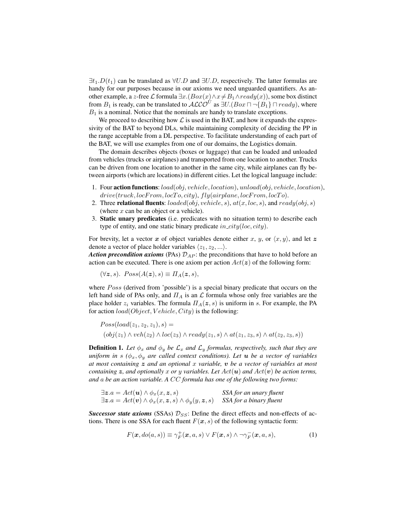$\exists t_1.D(t_1)$  can be translated as  $\forall U.D$  and  $\exists U.D$ , respectively. The latter formulas are handy for our purposes because in our axioms we need unguarded quantifiers. As another example, a z-free  $\mathcal L$  formula  $\exists x.(Box(x) \land x \neq B_1 \land ready(x))$ , some box distinct from  $B_1$  is ready, can be translated to  $\mathcal{ALCO}^U$  as  $\exists U.(Box \sqcap \{B_1\} \sqcap ready)$ , where  $B_1$  is a nominal. Notice that the nominals are handy to translate exceptions.

We proceed to describing how  $\mathcal L$  is used in the BAT, and how it expands the expressivity of the BAT to beyond DLs, while maintaining complexity of deciding the PP in the range acceptable from a DL perspective. To facilitate understanding of each part of the BAT, we will use examples from one of our domains, the Logistics domain.

The domain describes objects (boxes or luggage) that can be loaded and unloaded from vehicles (trucks or airplanes) and transported from one location to another. Trucks can be driven from one location to another in the same city, while airplanes can fly between airports (which are locations) in different cities. Let the logical language include:

- 1. Four action functions:  $load(obj, vehicle, location), unload(obj, vehicle, location),$  $drive(truek, locFrom, locTo, city), fly(airplane, locFrom, locTo).$
- 2. Three relational fluents:  $loaded(obj, vehicle, s), at(x, loc, s),$  and  $ready(obj, s)$ (where  $x$  can be an object or a vehicle).
- 3. Static unary predicates (i.e. predicates with no situation term) to describe each type of entity, and one static binary predicate  $in\_city(loc, city)$ .

For brevity, let a vector x of object variables denote either x, y, or  $\langle x, y \rangle$ , and let z denote a vector of place holder variables  $\langle z_1, z_2, \ldots \rangle$ .

*Action precondition axioms* (PAs)  $\mathcal{D}_{AP}$ : the preconditions that have to hold before an action can be executed. There is one axiom per action  $Act(z)$  of the following form:

 $(\forall z, s)$ .  $Poss(A(z), s) \equiv \Pi_A(z, s)$ ,

where  $Poss$  (derived from 'possible') is a special binary predicate that occurs on the left hand side of PAs only, and  $\Pi_A$  is an  $\mathcal L$  formula whose only free variables are the place holder  $z_i$  variables. The formula  $\Pi_A(z, s)$  is uniform in s. For example, the PA for action  $load(Object, Vehicle, City)$  is the following:

$$
Poss(load(z_1, z_2, z_1), s) =
$$

$$
(obj(z_1) \land veh(z_2) \land loc(z_3) \land ready(z_1, s) \land at(z_1, z_3, s) \land at(z_2, z_3, s))
$$

**Definition 1.** Let  $\phi_x$  and  $\phi_y$  be  $\mathcal{L}_x$  and  $\mathcal{L}_y$  formulas, respectively, such that they are *uniform in* s  $(\phi_x, \phi_y)$  *are called context conditions). Let u <i>be a* vector of variables *at most containing* z *and an optional* x *variable,* v *be a vector of variables at most containing*  $\boldsymbol{z}$ , and optionally  $x$  or  $y$  variables. Let  $Act(\boldsymbol{u})$  and  $Act(\boldsymbol{v})$  be action terms, *and* a *be an action variable. A* CC *formula has one of the following two forms:*

$$
\exists z.a = Act(\mathbf{u}) \land \phi_x(x, z, s)
$$
  

$$
\exists z.a = Act(\mathbf{v}) \land \phi_x(x, z, s) \land \phi_y(y, z, s)
$$
SSA for a binary fluent

*Successor state axioms* (SSAs)  $\mathcal{D}_{SS}$ : Define the direct effects and non-effects of actions. There is one SSA for each fluent  $F(x, s)$  of the following syntactic form:

$$
F(\mathbf{x}, do(a, s)) \equiv \gamma_F^+(\mathbf{x}, a, s) \lor F(\mathbf{x}, s) \land \neg \gamma_F^-(\mathbf{x}, a, s),
$$
\n(1)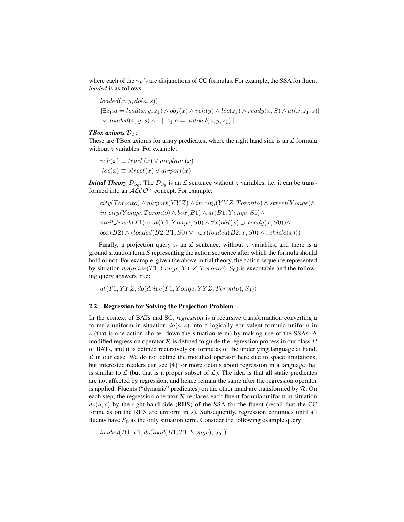where each of the  $\gamma_F$ 's are disjunctions of CC formulas. For example, the SSA for fluent *loaded* is as follows:

$$
loaded(x, y, do(a, s)) =
$$
  
\n
$$
[\exists z_1.a = load(x, y, z_1) \land obj(x) \land veh(y) \land loc(z_1) \land ready(x, S) \land at(x, z_1, s)]
$$
  
\n
$$
\lor [loaded(x, y, s) \land \neg[\exists z_1.a = unload(x, y, z_1)]]
$$

### *TBox axioms*  $\mathcal{D}_T$ :

These are TBox axioms for unary predicates, where the right hand side is an  $\mathcal L$  formula without z variables. For example:

 $veh(x) \equiv truck(x) \vee airplane(x)$  $loc(x) \equiv street(x) \vee airport(x)$ 

*Initial Theory*  $\mathcal{D}_{S_0}$ : The  $\mathcal{D}_{S_0}$  is an  $\mathcal L$  sentence without z variables, i.e. it can be transformed into an  $\mathcal{ALCO}^U$  concept. For example:

$$
city(Toronto) \land airport(YYZ) \land in\_city(YYZ, Toronto) \land street(Yonge) \land in\_city(Yonge, Toronto) \land box(B1) \land at(B1,Yonge, S0) \land mail\_truck(T1) \land at(T1,Yonge, S0) \land \forall x(obj(x) \supset ready(x, S0)) \land box(B2) \land (loaded(B2, T1, S0) \lor \neg \exists x (loaded(B2, x, S0) \land vehicle(x)))
$$

Finally, a projection query is an  $\mathcal L$  sentence, without z variables, and there is a ground situation term  $S$  representing the action sequence after which the formula should hold or not. For example, given the above initial theory, the action sequence represented by situation  $do(drive(T1, Yonge, YYZ, Toronto), S_0)$  is executable and the following query answers true:

 $at(T1,YYZ, do(drive(T1,Yonge,YYZ, Toronto), S_0))$ 

#### 2.2 Regression for Solving the Projection Problem

In the context of BATs and SC, *regression* is a recursive transformation converting a formula uniform in situation  $do(a, s)$  into a logically equivalent formula uniform in s (that is one action shorter down the situation term) by making use of the SSAs. A modified regression operator  $R$  is defined to guide the regression process in our class P of BATs, and it is defined recursively on formulas of the underlying language at hand,  $\mathcal L$  in our case. We do not define the modified operator here due to space limitations, but interested readers can see [4] for more details about regression in a language that is similar to  $\mathcal L$  (but that is a proper subset of  $\mathcal L$ ). The idea is that all static predicates are not affected by regression, and hence remain the same after the regression operator is applied. Fluents ("dynamic" predicates) on the other hand are transformed by  $R$ . On each step, the regression operator  $R$  replaces each fluent formula uniform in situation  $do(a, s)$  by the right hand side (RHS) of the SSA for the fluent (recall that the CC formulas on the RHS are uniform in s). Subsequently, regression continues until all fluents have  $S_0$  as the only situation term. Consider the following example query:

 $loaded(B1, T1, do (load(B1, T1, Yonge), S_0))$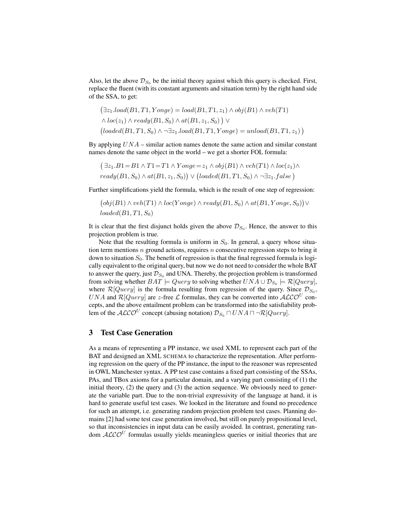Also, let the above  $\mathcal{D}_{S_0}$  be the initial theory against which this query is checked. First, replace the fluent (with its constant arguments and situation term) by the right hand side of the SSA, to get:

$$
(\exists z_1.load(B1, T1, Yonge) = load(B1, T1, z_1) \land obj(B1) \land veh(T1)
$$

$$
\land loc(z_1) \land ready(B1, S_0) \land at(B1, z_1, S_0)) \lor
$$

$$
(loaded(B1, T1, S_0) \land \neg \exists z_1.load(B1, T1, Yonge) = unload(B1, T1, z_1))
$$

By applying  $UNA$  – similar action names denote the same action and similar constant names denote the same object in the world – we get a shorter FOL formula:

$$
(\exists z_1.B1 = B1 \land T1 = T1 \land Yonge = z_1 \land obj(B1) \land veh(T1) \land loc(z_1) \land ready(B1, S_0) \land at(B1, z_1, S_0)) \lor (loaded(B1, T1, S_0) \land \neg \exists z_1.false)
$$

Further simplifications yield the formula, which is the result of one step of regression:

$$
(obj(B1) \land veh(T1) \land loc(Yonge) \land ready(B1, S_0) \land at(B1, Yonge, S_0)) \lor loaded(B1, T1, S_0)
$$

It is clear that the first disjunct holds given the above  $\mathcal{D}_{S_0}$ . Hence, the answer to this projection problem is true.

Note that the resulting formula is uniform in  $S_0$ . In general, a query whose situation term mentions  $n$  ground actions, requires  $n$  consecutive regression steps to bring it down to situation  $S_0$ . The benefit of regression is that the final regressed formula is logically equivalent to the original query, but now we do not need to consider the whole BAT to answer the query, just  $\mathcal{D}_{S_0}$  and UNA. Thereby, the projection problem is transformed from solving whether  $BAT \models Query$  to solving whether  $UNA \cup \mathcal{D}_{S_0} \models \mathcal{R}[Query],$ where  $\mathcal{R}[Query]$  is the formula resulting from regression of the query. Since  $\mathcal{D}_{S_0}$ , UNA and  $\mathcal{R}[Query]$  are *z*-free  $\mathcal{L}$  formulas, they can be converted into  $\mathcal{ALCO}^U$  concepts, and the above entailment problem can be transformed into the satisfiability problem of the  $\mathcal{ALCO}^U$  concept (abusing notation)  $\mathcal{D}_{S_0} \sqcap UNA \sqcap \neg \mathcal{R}[Query].$ 

## 3 Test Case Generation

As a means of representing a PP instance, we used XML to represent each part of the BAT and designed an XML SCHEMA to characterize the representation. After performing regression on the query of the PP instance, the input to the reasoner was represented in OWL Manchester syntax. A PP test case contains a fixed part consisting of the SSAs, PAs, and TBox axioms for a particular domain, and a varying part consisting of (1) the initial theory, (2) the query and (3) the action sequence. We obviously need to generate the variable part. Due to the non-trivial expressivity of the language at hand, it is hard to generate useful test cases. We looked in the literature and found no precedence for such an attempt, i.e. generating random projection problem test cases. Planning domains [2] had some test case generation involved, but still on purely propositional level, so that inconsistencies in input data can be easily avoided. In contrast, generating random  $ALCO<sup>U</sup>$  formulas usually yields meaningless queries or initial theories that are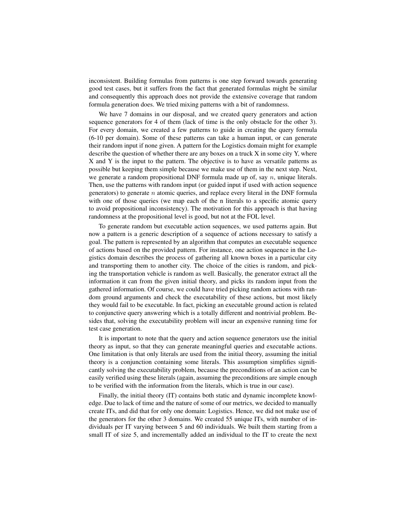inconsistent. Building formulas from patterns is one step forward towards generating good test cases, but it suffers from the fact that generated formulas might be similar and consequently this approach does not provide the extensive coverage that random formula generation does. We tried mixing patterns with a bit of randomness.

We have 7 domains in our disposal, and we created query generators and action sequence generators for 4 of them (lack of time is the only obstacle for the other 3). For every domain, we created a few patterns to guide in creating the query formula (6-10 per domain). Some of these patterns can take a human input, or can generate their random input if none given. A pattern for the Logistics domain might for example describe the question of whether there are any boxes on a truck X in some city Y, where X and Y is the input to the pattern. The objective is to have as versatile patterns as possible but keeping them simple because we make use of them in the next step. Next, we generate a random propositional DNF formula made up of, say  $n$ , unique literals. Then, use the patterns with random input (or guided input if used with action sequence generators) to generate  $n$  atomic queries, and replace every literal in the DNF formula with one of those queries (we map each of the n literals to a specific atomic query to avoid propositional inconsistency). The motivation for this approach is that having randomness at the propositional level is good, but not at the FOL level.

To generate random but executable action sequences, we used patterns again. But now a pattern is a generic description of a sequence of actions necessary to satisfy a goal. The pattern is represented by an algorithm that computes an executable sequence of actions based on the provided pattern. For instance, one action sequence in the Logistics domain describes the process of gathering all known boxes in a particular city and transporting them to another city. The choice of the cities is random, and picking the transportation vehicle is random as well. Basically, the generator extract all the information it can from the given initial theory, and picks its random input from the gathered information. Of course, we could have tried picking random actions with random ground arguments and check the executability of these actions, but most likely they would fail to be executable. In fact, picking an executable ground action is related to conjunctive query answering which is a totally different and nontrivial problem. Besides that, solving the executability problem will incur an expensive running time for test case generation.

It is important to note that the query and action sequence generators use the initial theory as input, so that they can generate meaningful queries and executable actions. One limitation is that only literals are used from the initial theory, assuming the initial theory is a conjunction containing some literals. This assumption simplifies significantly solving the executability problem, because the preconditions of an action can be easily verified using these literals (again, assuming the preconditions are simple enough to be verified with the information from the literals, which is true in our case).

Finally, the initial theory (IT) contains both static and dynamic incomplete knowledge. Due to lack of time and the nature of some of our metrics, we decided to manually create ITs, and did that for only one domain: Logistics. Hence, we did not make use of the generators for the other 3 domains. We created 55 unique ITs, with number of individuals per IT varying between 5 and 60 individuals. We built them starting from a small IT of size 5, and incrementally added an individual to the IT to create the next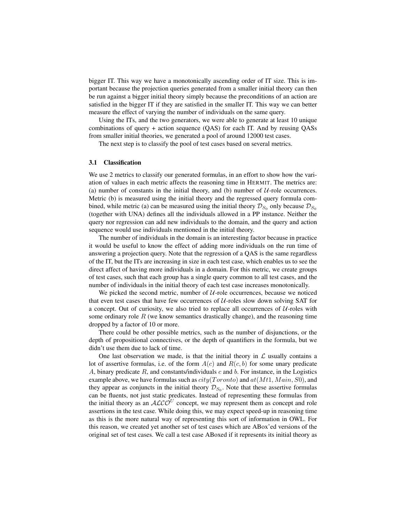bigger IT. This way we have a monotonically ascending order of IT size. This is important because the projection queries generated from a smaller initial theory can then be run against a bigger initial theory simply because the preconditions of an action are satisfied in the bigger IT if they are satisfied in the smaller IT. This way we can better measure the effect of varying the number of individuals on the same query.

Using the ITs, and the two generators, we were able to generate at least 10 unique combinations of query + action sequence (QAS) for each IT. And by reusing QASs from smaller initial theories, we generated a pool of around 12000 test cases.

The next step is to classify the pool of test cases based on several metrics.

#### 3.1 Classification

We use 2 metrics to classify our generated formulas, in an effort to show how the variation of values in each metric affects the reasoning time in HERMIT. The metrics are: (a) number of constants in the initial theory, and (b) number of  $U$ -role occurrences. Metric (b) is measured using the initial theory and the regressed query formula combined, while metric (a) can be measured using the initial theory  $\mathcal{D}_{S_0}$  only because  $\mathcal{D}_{S_0}$ (together with UNA) defines all the individuals allowed in a PP instance. Neither the query nor regression can add new individuals to the domain, and the query and action sequence would use individuals mentioned in the initial theory.

The number of individuals in the domain is an interesting factor because in practice it would be useful to know the effect of adding more individuals on the run time of answering a projection query. Note that the regression of a QAS is the same regardless of the IT, but the ITs are increasing in size in each test case, which enables us to see the direct affect of having more individuals in a domain. For this metric, we create groups of test cases, such that each group has a single query common to all test cases, and the number of individuals in the initial theory of each test case increases monotonically.

We picked the second metric, number of  $U$ -role occurrences, because we noticed that even test cases that have few occurrences of  $U$ -roles slow down solving SAT for a concept. Out of curiosity, we also tried to replace all occurrences of  $U$ -roles with some ordinary role  $R$  (we know semantics drastically change), and the reasoning time dropped by a factor of 10 or more.

There could be other possible metrics, such as the number of disjunctions, or the depth of propositional connectives, or the depth of quantifiers in the formula, but we didn't use them due to lack of time.

One last observation we made, is that the initial theory in  $\mathcal L$  usually contains a lot of assertive formulas, i.e. of the form  $A(c)$  and  $R(c, b)$  for some unary predicate A, binary predicate  $R$ , and constants/individuals  $c$  and  $b$ . For instance, in the Logistics example above, we have formulas such as  $city(Toronto)$  and  $at(Mt1, Main, S0)$ , and they appear as conjuncts in the initial theory  $\mathcal{D}_{S_0}$ . Note that these assertive formulas can be fluents, not just static predicates. Instead of representing these formulas from the initial theory as an  $ALCO<sup>U</sup>$  concept, we may represent them as concept and role assertions in the test case. While doing this, we may expect speed-up in reasoning time as this is the more natural way of representing this sort of information in OWL. For this reason, we created yet another set of test cases which are ABox'ed versions of the original set of test cases. We call a test case ABoxed if it represents its initial theory as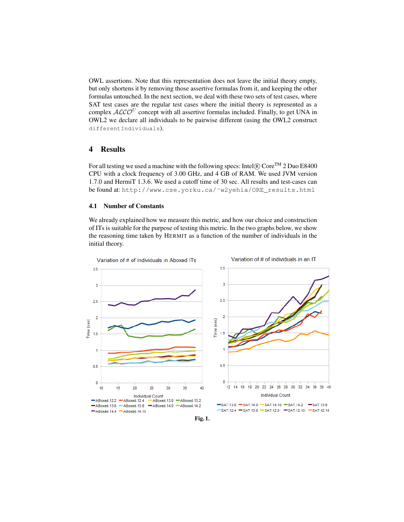OWL assertions. Note that this representation does not leave the initial theory empty, but only shortens it by removing those assertive formulas from it, and keeping the other formulas untouched. In the next section, we deal with these two sets of test cases, where SAT test cases are the regular test cases where the initial theory is represented as a complex  $\cal{ALCO}^{U}$  concept with all assertive formulas included. Finally, to get UNA in OWL2 we declare all individuals to be pairwise different (using the OWL2 construct differentIndividuals).

## 4 Results

For all testing we used a machine with the following specs: Intel $\mathbb R$  Core<sup>TM</sup> 2 Duo E8400 CPU with a clock frequency of 3.00 GHz, and 4 GB of RAM. We used JVM version 1.7.0 and HermiT 1.3.6. We used a cutoff time of 30 sec. All results and test-cases can be found at: http://www.cse.yorku.ca/˜w2yehia/ORE\_results.html

## 4.1 Number of Constants

We already explained how we measure this metric, and how our choice and construction of ITs is suitable for the purpose of testing this metric. In the two graphs below, we show the reasoning time taken by HERMIT as a function of the number of individuals in the initial theory.



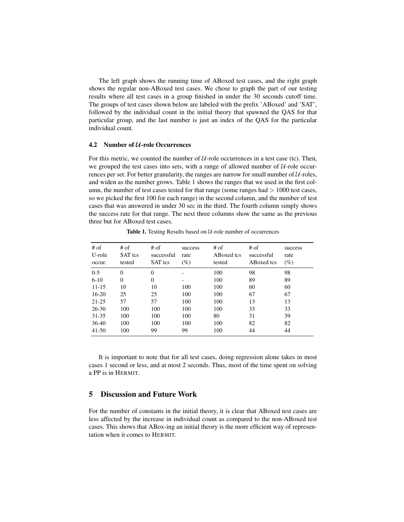The left graph shows the running time of ABoxed test cases, and the right graph shows the regular non-ABoxed test cases. We chose to graph the part of our testing results where all test cases in a group finished in under the 30 seconds cutoff time. The groups of test cases shown below are labeled with the prefix 'ABoxed' and 'SAT', followed by the individual count in the initial theory that spawned the QAS for that particular group, and the last number is just an index of the QAS for the particular individual count.

## 4.2 Number of  $U$ -role Occurrences

For this metric, we counted the number of  $U$ -role occurrences in a test case (tc). Then, we grouped the test cases into sets, with a range of allowed number of  $U$ -role occurrences per set. For better granularity, the ranges are narrow for small number of  $U$ -roles, and widen as the number grows. Table 1 shows the ranges that we used in the first column, the number of test cases tested for that range (some ranges had  $> 1000$  test cases, so we picked the first 100 for each range) in the second column, and the number of test cases that was answered in under 30 sec in the third. The fourth column simply shows the success rate for that range. The next three columns show the same as the previous three but for ABoxed test cases.

| $#$ of<br>U-role<br>occur. | # of<br><b>SAT</b> tcs<br>tested | # of<br>successful<br><b>SAT</b> tcs | success<br>rate<br>$(\%)$ | $#$ of<br>ABoxed tcs<br>tested | # of<br>successful<br>ABoxed tcs | success<br>rate<br>$(\%)$ |
|----------------------------|----------------------------------|--------------------------------------|---------------------------|--------------------------------|----------------------------------|---------------------------|
| $0 - 5$                    | $\Omega$                         | $\Omega$                             |                           | 100                            | 98                               | 98                        |
| $6 - 10$                   | $\Omega$                         | $\Omega$                             |                           | 100                            | 89                               | 89                        |
| $11 - 15$                  | 10                               | 10                                   | 100                       | 100                            | 60                               | 60                        |
| $16 - 20$                  | 25                               | 25                                   | 100                       | 100                            | 67                               | 67                        |
| $21 - 25$                  | 57                               | 57                                   | 100                       | 100                            | 13                               | 13                        |
| $26 - 30$                  | 100                              | 100                                  | 100                       | 100                            | 33                               | 33                        |
| 31-35                      | 100                              | 100                                  | 100                       | 80                             | 31                               | 39                        |
| $36-40$                    | 100                              | 100                                  | 100                       | 100                            | 82                               | 82                        |
| $41-50$                    | 100                              | 99                                   | 99                        | 100                            | 44                               | 44                        |

Table 1. Testing Results based on  $U$ -role number of occurrences

It is important to note that for all test cases, doing regression alone takes in most cases 1 second or less, and at most 2 seconds. Thus, most of the time spent on solving a PP is in HERMIT.

## 5 Discussion and Future Work

For the number of constants in the initial theory, it is clear that ABoxed test cases are less affected by the increase in individual count as compared to the non-ABoxed test cases. This shows that ABox-ing an initial theory is the more efficient way of representation when it comes to HERMIT.